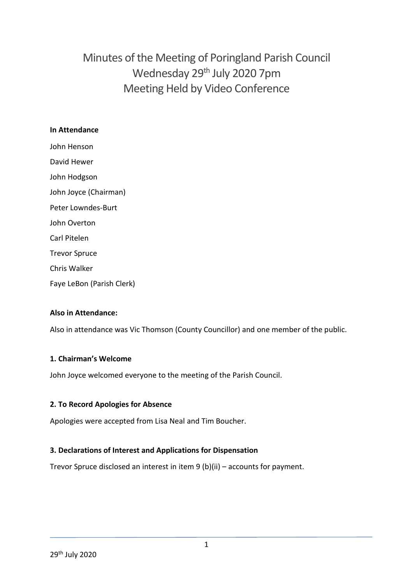# Minutes of the Meeting of Poringland Parish Council Wednesday 29<sup>th</sup> July 2020 7pm Meeting Held by Video Conference

#### **In Attendance**

John Henson David Hewer John Hodgson John Joyce (Chairman) Peter Lowndes-Burt John Overton Carl Pitelen Trevor Spruce Chris Walker Faye LeBon (Parish Clerk)

#### **Also in Attendance:**

Also in attendance was Vic Thomson (County Councillor) and one member of the public.

#### **1. Chairman's Welcome**

John Joyce welcomed everyone to the meeting of the Parish Council.

#### **2. To Record Apologies for Absence**

Apologies were accepted from Lisa Neal and Tim Boucher.

#### **3. Declarations of Interest and Applications for Dispensation**

Trevor Spruce disclosed an interest in item 9 (b)(ii) – accounts for payment.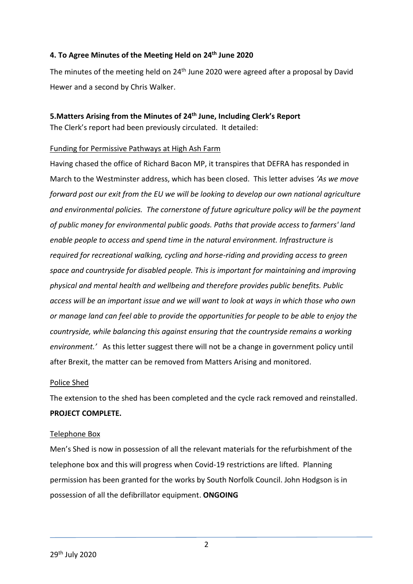#### **4. To Agree Minutes of the Meeting Held on 24th June 2020**

The minutes of the meeting held on  $24<sup>th</sup>$  June 2020 were agreed after a proposal by David Hewer and a second by Chris Walker.

#### **5.Matters Arising from the Minutes of 24th June, Including Clerk's Report**

The Clerk's report had been previously circulated. It detailed:

#### Funding for Permissive Pathways at High Ash Farm

Having chased the office of Richard Bacon MP, it transpires that DEFRA has responded in March to the Westminster address, which has been closed. This letter advises *'As we move forward post our exit from the EU we will be looking to develop our own national agriculture and environmental policies. The cornerstone of future agriculture policy will be the payment of public money for environmental public goods. Paths that provide access to farmers' land enable people to access and spend time in the natural environment. Infrastructure is required for recreational walking, cycling and horse-riding and providing access to green space and countryside for disabled people. This is important for maintaining and improving physical and mental health and wellbeing and therefore provides public benefits. Public access will be an important issue and we will want to look at ways in which those who own or manage land can feel able to provide the opportunities for people to be able to enjoy the countryside, while balancing this against ensuring that the countryside remains a working environment.'* As this letter suggest there will not be a change in government policy until after Brexit, the matter can be removed from Matters Arising and monitored.

#### Police Shed

The extension to the shed has been completed and the cycle rack removed and reinstalled. **PROJECT COMPLETE.**

#### Telephone Box

Men's Shed is now in possession of all the relevant materials for the refurbishment of the telephone box and this will progress when Covid-19 restrictions are lifted. Planning permission has been granted for the works by South Norfolk Council. John Hodgson is in possession of all the defibrillator equipment. **ONGOING**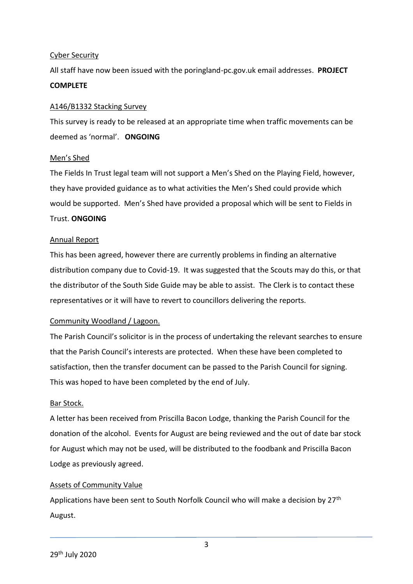#### Cyber Security

All staff have now been issued with the poringland-pc.gov.uk email addresses. **PROJECT COMPLETE**

#### A146/B1332 Stacking Survey

This survey is ready to be released at an appropriate time when traffic movements can be deemed as 'normal'. **ONGOING**

#### Men's Shed

The Fields In Trust legal team will not support a Men's Shed on the Playing Field, however, they have provided guidance as to what activities the Men's Shed could provide which would be supported. Men's Shed have provided a proposal which will be sent to Fields in Trust. **ONGOING**

#### Annual Report

This has been agreed, however there are currently problems in finding an alternative distribution company due to Covid-19. It was suggested that the Scouts may do this, or that the distributor of the South Side Guide may be able to assist. The Clerk is to contact these representatives or it will have to revert to councillors delivering the reports.

#### Community Woodland / Lagoon.

The Parish Council's solicitor is in the process of undertaking the relevant searches to ensure that the Parish Council's interests are protected. When these have been completed to satisfaction, then the transfer document can be passed to the Parish Council for signing. This was hoped to have been completed by the end of July.

#### Bar Stock.

A letter has been received from Priscilla Bacon Lodge, thanking the Parish Council for the donation of the alcohol. Events for August are being reviewed and the out of date bar stock for August which may not be used, will be distributed to the foodbank and Priscilla Bacon Lodge as previously agreed.

#### Assets of Community Value

Applications have been sent to South Norfolk Council who will make a decision by 27<sup>th</sup> August.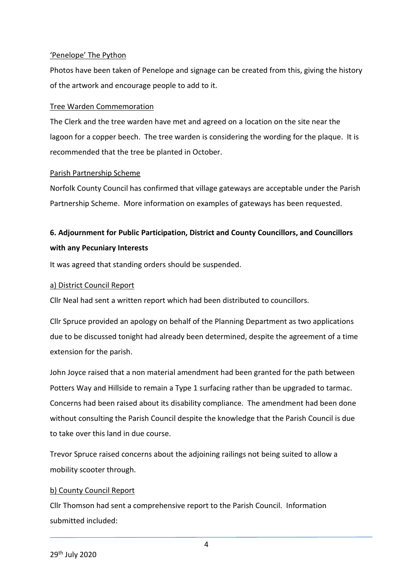#### 'Penelope' The Python

Photos have been taken of Penelope and signage can be created from this, giving the history of the artwork and encourage people to add to it.

#### Tree Warden Commemoration

The Clerk and the tree warden have met and agreed on a location on the site near the lagoon for a copper beech. The tree warden is considering the wording for the plaque. It is recommended that the tree be planted in October.

#### Parish Partnership Scheme

Norfolk County Council has confirmed that village gateways are acceptable under the Parish Partnership Scheme. More information on examples of gateways has been requested.

## **6. Adjournment for Public Participation, District and County Councillors, and Councillors with any Pecuniary Interests**

It was agreed that standing orders should be suspended.

#### a) District Council Report

Cllr Neal had sent a written report which had been distributed to councillors.

Cllr Spruce provided an apology on behalf of the Planning Department as two applications due to be discussed tonight had already been determined, despite the agreement of a time extension for the parish.

John Joyce raised that a non material amendment had been granted for the path between Potters Way and Hillside to remain a Type 1 surfacing rather than be upgraded to tarmac. Concerns had been raised about its disability compliance. The amendment had been done without consulting the Parish Council despite the knowledge that the Parish Council is due to take over this land in due course.

Trevor Spruce raised concerns about the adjoining railings not being suited to allow a mobility scooter through.

#### b) County Council Report

Cllr Thomson had sent a comprehensive report to the Parish Council. Information submitted included: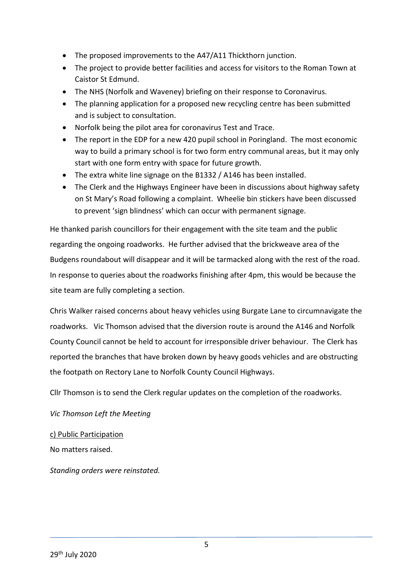- The proposed improvements to the A47/A11 Thickthorn junction.
- The project to provide better facilities and access for visitors to the Roman Town at Caistor St Edmund.
- The NHS (Norfolk and Waveney) briefing on their response to Coronavirus.
- The planning application for a proposed new recycling centre has been submitted and is subject to consultation.
- Norfolk being the pilot area for coronavirus Test and Trace.
- The report in the EDP for a new 420 pupil school in Poringland. The most economic way to build a primary school is for two form entry communal areas, but it may only start with one form entry with space for future growth.
- The extra white line signage on the B1332 / A146 has been installed.
- The Clerk and the Highways Engineer have been in discussions about highway safety on St Mary's Road following a complaint. Wheelie bin stickers have been discussed to prevent 'sign blindness' which can occur with permanent signage.

He thanked parish councillors for their engagement with the site team and the public regarding the ongoing roadworks. He further advised that the brickweave area of the Budgens roundabout will disappear and it will be tarmacked along with the rest of the road. In response to queries about the roadworks finishing after 4pm, this would be because the site team are fully completing a section.

Chris Walker raised concerns about heavy vehicles using Burgate Lane to circumnavigate the roadworks. Vic Thomson advised that the diversion route is around the A146 and Norfolk County Council cannot be held to account for irresponsible driver behaviour. The Clerk has reported the branches that have broken down by heavy goods vehicles and are obstructing the footpath on Rectory Lane to Norfolk County Council Highways.

Cllr Thomson is to send the Clerk regular updates on the completion of the roadworks.

*Vic Thomson Left the Meeting*

c) Public Participation

No matters raised.

*Standing orders were reinstated.*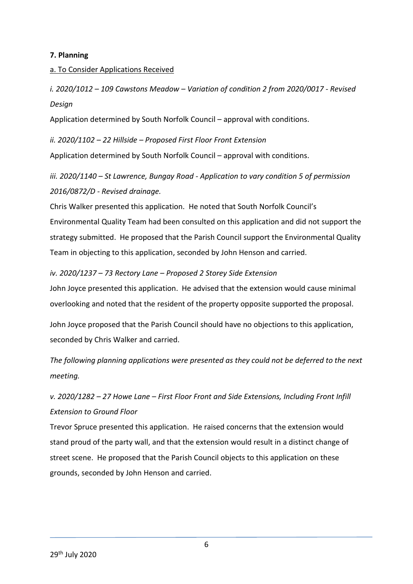#### **7. Planning**

#### a. To Consider Applications Received

*i. 2020/1012 – 109 Cawstons Meadow – Variation of condition 2 from 2020/0017 - Revised Design*

Application determined by South Norfolk Council – approval with conditions.

*ii. 2020/1102 – 22 Hillside – Proposed First Floor Front Extension*

Application determined by South Norfolk Council – approval with conditions.

## *iii. 2020/1140 – St Lawrence, Bungay Road - Application to vary condition 5 of permission 2016/0872/D - Revised drainage.*

Chris Walker presented this application. He noted that South Norfolk Council's Environmental Quality Team had been consulted on this application and did not support the strategy submitted. He proposed that the Parish Council support the Environmental Quality Team in objecting to this application, seconded by John Henson and carried.

#### *iv. 2020/1237 – 73 Rectory Lane – Proposed 2 Storey Side Extension*

John Joyce presented this application. He advised that the extension would cause minimal overlooking and noted that the resident of the property opposite supported the proposal.

John Joyce proposed that the Parish Council should have no objections to this application, seconded by Chris Walker and carried.

*The following planning applications were presented as they could not be deferred to the next meeting.*

## *v. 2020/1282 – 27 Howe Lane – First Floor Front and Side Extensions, Including Front Infill Extension to Ground Floor*

Trevor Spruce presented this application. He raised concerns that the extension would stand proud of the party wall, and that the extension would result in a distinct change of street scene. He proposed that the Parish Council objects to this application on these grounds, seconded by John Henson and carried.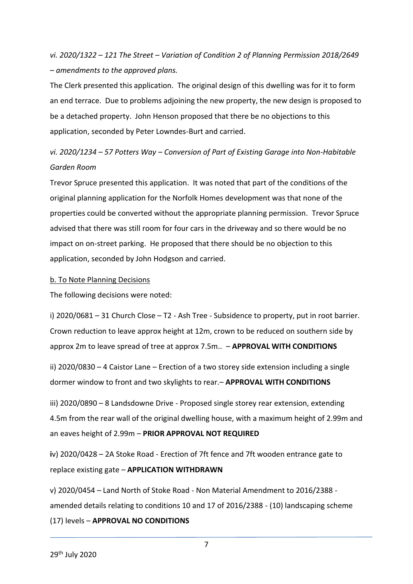*vi. 2020/1322 – 121 The Street – Variation of Condition 2 of Planning Permission 2018/2649 – amendments to the approved plans.*

The Clerk presented this application. The original design of this dwelling was for it to form an end terrace. Due to problems adjoining the new property, the new design is proposed to be a detached property. John Henson proposed that there be no objections to this application, seconded by Peter Lowndes-Burt and carried.

### *vi. 2020/1234 – 57 Potters Way – Conversion of Part of Existing Garage into Non-Habitable Garden Room*

Trevor Spruce presented this application. It was noted that part of the conditions of the original planning application for the Norfolk Homes development was that none of the properties could be converted without the appropriate planning permission. Trevor Spruce advised that there was still room for four cars in the driveway and so there would be no impact on on-street parking. He proposed that there should be no objection to this application, seconded by John Hodgson and carried.

#### b. To Note Planning Decisions

The following decisions were noted:

i) 2020/0681 – 31 Church Close – T2 - Ash Tree - Subsidence to property, put in root barrier. Crown reduction to leave approx height at 12m, crown to be reduced on southern side by approx 2m to leave spread of tree at approx 7.5m.. – **APPROVAL WITH CONDITIONS**

ii) 2020/0830 – 4 Caistor Lane – Erection of a two storey side extension including a single dormer window to front and two skylights to rear.– **APPROVAL WITH CONDITIONS**

iii) 2020/0890 – 8 Landsdowne Drive - Proposed single storey rear extension, extending 4.5m from the rear wall of the original dwelling house, with a maximum height of 2.99m and an eaves height of 2.99m – **PRIOR APPROVAL NOT REQUIRED**

**i**v) 2020/0428 – 2A Stoke Road - Erection of 7ft fence and 7ft wooden entrance gate to replace existing gate – **APPLICATION WITHDRAWN**

v) 2020/0454 – Land North of Stoke Road - Non Material Amendment to 2016/2388 amended details relating to conditions 10 and 17 of 2016/2388 - (10) landscaping scheme

(17) levels – **APPROVAL NO CONDITIONS**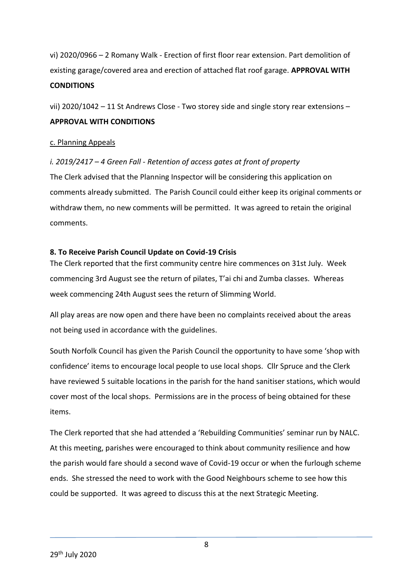vi) 2020/0966 – 2 Romany Walk - Erection of first floor rear extension. Part demolition of existing garage/covered area and erection of attached flat roof garage. **APPROVAL WITH CONDITIONS**

vii) 2020/1042 – 11 St Andrews Close - Two storey side and single story rear extensions – **APPROVAL WITH CONDITIONS**

#### c. Planning Appeals

#### *i. 2019/2417 – 4 Green Fall - Retention of access gates at front of property*

The Clerk advised that the Planning Inspector will be considering this application on comments already submitted. The Parish Council could either keep its original comments or withdraw them, no new comments will be permitted. It was agreed to retain the original comments.

#### **8. To Receive Parish Council Update on Covid-19 Crisis**

The Clerk reported that the first community centre hire commences on 31st July. Week commencing 3rd August see the return of pilates, T'ai chi and Zumba classes. Whereas week commencing 24th August sees the return of Slimming World.

All play areas are now open and there have been no complaints received about the areas not being used in accordance with the guidelines.

South Norfolk Council has given the Parish Council the opportunity to have some 'shop with confidence' items to encourage local people to use local shops. Cllr Spruce and the Clerk have reviewed 5 suitable locations in the parish for the hand sanitiser stations, which would cover most of the local shops. Permissions are in the process of being obtained for these items.

The Clerk reported that she had attended a 'Rebuilding Communities' seminar run by NALC. At this meeting, parishes were encouraged to think about community resilience and how the parish would fare should a second wave of Covid-19 occur or when the furlough scheme ends. She stressed the need to work with the Good Neighbours scheme to see how this could be supported. It was agreed to discuss this at the next Strategic Meeting.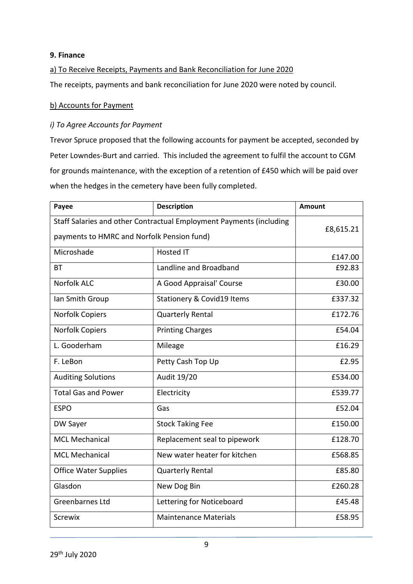#### **9. Finance**

#### a) To Receive Receipts, Payments and Bank Reconciliation for June 2020

The receipts, payments and bank reconciliation for June 2020 were noted by council.

#### b) Accounts for Payment

#### *i) To Agree Accounts for Payment*

Trevor Spruce proposed that the following accounts for payment be accepted, seconded by Peter Lowndes-Burt and carried. This included the agreement to fulfil the account to CGM for grounds maintenance, with the exception of a retention of £450 which will be paid over when the hedges in the cemetery have been fully completed.

| Payee                                                               | <b>Description</b>                    | <b>Amount</b> |
|---------------------------------------------------------------------|---------------------------------------|---------------|
| Staff Salaries and other Contractual Employment Payments (including |                                       | £8,615.21     |
| payments to HMRC and Norfolk Pension fund)                          |                                       |               |
| Microshade                                                          | <b>Hosted IT</b>                      | £147.00       |
| ВT                                                                  | Landline and Broadband                | £92.83        |
| <b>Norfolk ALC</b>                                                  | A Good Appraisal' Course              | £30.00        |
| Ian Smith Group                                                     | <b>Stationery &amp; Covid19 Items</b> | £337.32       |
| Norfolk Copiers                                                     | <b>Quarterly Rental</b>               | £172.76       |
| Norfolk Copiers                                                     | <b>Printing Charges</b>               | £54.04        |
| L. Gooderham                                                        | Mileage                               | £16.29        |
| F. LeBon                                                            | Petty Cash Top Up                     | £2.95         |
| <b>Auditing Solutions</b>                                           | Audit 19/20                           | £534.00       |
| <b>Total Gas and Power</b>                                          | Electricity                           | £539.77       |
| <b>ESPO</b>                                                         | Gas                                   | £52.04        |
| DW Sayer                                                            | <b>Stock Taking Fee</b>               | £150.00       |
| <b>MCL Mechanical</b>                                               | Replacement seal to pipework          | £128.70       |
| <b>MCL Mechanical</b>                                               | New water heater for kitchen          | £568.85       |
| <b>Office Water Supplies</b>                                        | <b>Quarterly Rental</b>               | £85.80        |
| Glasdon                                                             | New Dog Bin                           | £260.28       |
| <b>Greenbarnes Ltd</b>                                              | Lettering for Noticeboard             | £45.48        |
| <b>Screwix</b>                                                      | <b>Maintenance Materials</b>          | £58.95        |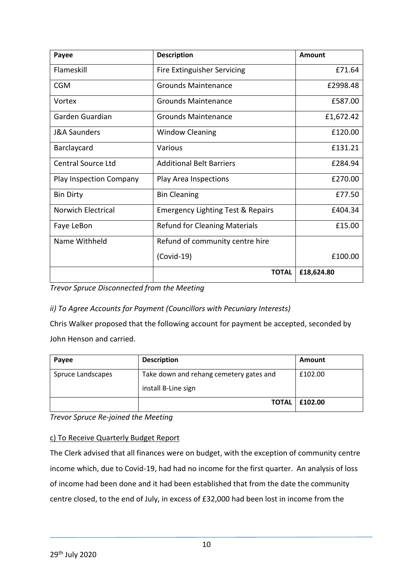| Payee                          | <b>Description</b>                           | Amount     |
|--------------------------------|----------------------------------------------|------------|
| Flameskill                     | Fire Extinguisher Servicing                  | £71.64     |
| <b>CGM</b>                     | <b>Grounds Maintenance</b>                   | £2998.48   |
| Vortex                         | <b>Grounds Maintenance</b>                   | £587.00    |
| Garden Guardian                | <b>Grounds Maintenance</b>                   | £1,672.42  |
| <b>J&amp;A Saunders</b>        | <b>Window Cleaning</b>                       | £120.00    |
| Barclaycard                    | Various                                      | £131.21    |
| <b>Central Source Ltd</b>      | <b>Additional Belt Barriers</b>              | £284.94    |
| <b>Play Inspection Company</b> | Play Area Inspections                        | £270.00    |
| <b>Bin Dirty</b>               | <b>Bin Cleaning</b>                          | £77.50     |
| <b>Norwich Electrical</b>      | <b>Emergency Lighting Test &amp; Repairs</b> | £404.34    |
| Faye LeBon                     | <b>Refund for Cleaning Materials</b>         | £15.00     |
| Name Withheld                  | Refund of community centre hire              |            |
|                                | $(Covid-19)$                                 | £100.00    |
|                                | <b>TOTAL</b>                                 | £18,624.80 |

*Trevor Spruce Disconnected from the Meeting*

*ii) To Agree Accounts for Payment (Councillors with Pecuniary Interests)*

Chris Walker proposed that the following account for payment be accepted, seconded by John Henson and carried.

| Payee             | <b>Description</b>                                             | Amount  |
|-------------------|----------------------------------------------------------------|---------|
| Spruce Landscapes | Take down and rehang cemetery gates and<br>install B-Line sign | £102.00 |
|                   | <b>TOTAL</b>                                                   | £102.00 |

*Trevor Spruce Re-joined the Meeting*

#### c) To Receive Quarterly Budget Report

The Clerk advised that all finances were on budget, with the exception of community centre income which, due to Covid-19, had had no income for the first quarter. An analysis of loss of income had been done and it had been established that from the date the community centre closed, to the end of July, in excess of £32,000 had been lost in income from the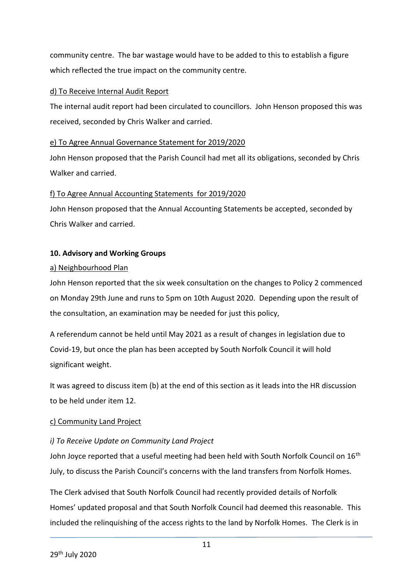community centre. The bar wastage would have to be added to this to establish a figure which reflected the true impact on the community centre.

#### d) To Receive Internal Audit Report

The internal audit report had been circulated to councillors. John Henson proposed this was received, seconded by Chris Walker and carried.

#### e) To Agree Annual Governance Statement for 2019/2020

John Henson proposed that the Parish Council had met all its obligations, seconded by Chris Walker and carried.

#### f) To Agree Annual Accounting Statements for 2019/2020

John Henson proposed that the Annual Accounting Statements be accepted, seconded by Chris Walker and carried.

#### **10. Advisory and Working Groups**

#### a) Neighbourhood Plan

John Henson reported that the six week consultation on the changes to Policy 2 commenced on Monday 29th June and runs to 5pm on 10th August 2020. Depending upon the result of the consultation, an examination may be needed for just this policy,

A referendum cannot be held until May 2021 as a result of changes in legislation due to Covid-19, but once the plan has been accepted by South Norfolk Council it will hold significant weight.

It was agreed to discuss item (b) at the end of this section as it leads into the HR discussion to be held under item 12.

#### c) Community Land Project

#### *i) To Receive Update on Community Land Project*

John Joyce reported that a useful meeting had been held with South Norfolk Council on  $16<sup>th</sup>$ July, to discuss the Parish Council's concerns with the land transfers from Norfolk Homes.

The Clerk advised that South Norfolk Council had recently provided details of Norfolk Homes' updated proposal and that South Norfolk Council had deemed this reasonable. This included the relinquishing of the access rights to the land by Norfolk Homes. The Clerk is in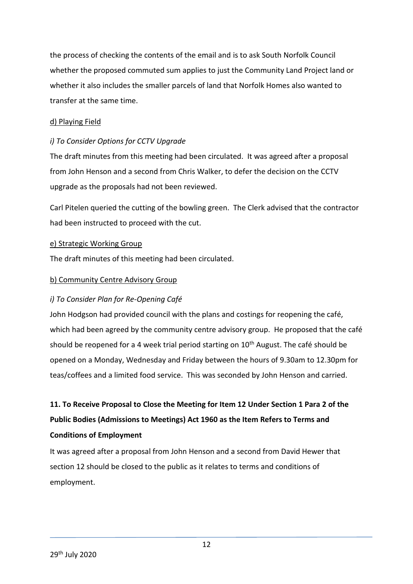the process of checking the contents of the email and is to ask South Norfolk Council whether the proposed commuted sum applies to just the Community Land Project land or whether it also includes the smaller parcels of land that Norfolk Homes also wanted to transfer at the same time.

#### d) Playing Field

#### *i) To Consider Options for CCTV Upgrade*

The draft minutes from this meeting had been circulated. It was agreed after a proposal from John Henson and a second from Chris Walker, to defer the decision on the CCTV upgrade as the proposals had not been reviewed.

Carl Pitelen queried the cutting of the bowling green. The Clerk advised that the contractor had been instructed to proceed with the cut.

#### e) Strategic Working Group

The draft minutes of this meeting had been circulated.

#### b) Community Centre Advisory Group

#### *i) To Consider Plan for Re-Opening Café*

John Hodgson had provided council with the plans and costings for reopening the café, which had been agreed by the community centre advisory group. He proposed that the café should be reopened for a 4 week trial period starting on  $10<sup>th</sup>$  August. The café should be opened on a Monday, Wednesday and Friday between the hours of 9.30am to 12.30pm for teas/coffees and a limited food service. This was seconded by John Henson and carried.

## **11. To Receive Proposal to Close the Meeting for Item 12 Under Section 1 Para 2 of the Public Bodies (Admissions to Meetings) Act 1960 as the Item Refers to Terms and Conditions of Employment**

It was agreed after a proposal from John Henson and a second from David Hewer that section 12 should be closed to the public as it relates to terms and conditions of employment.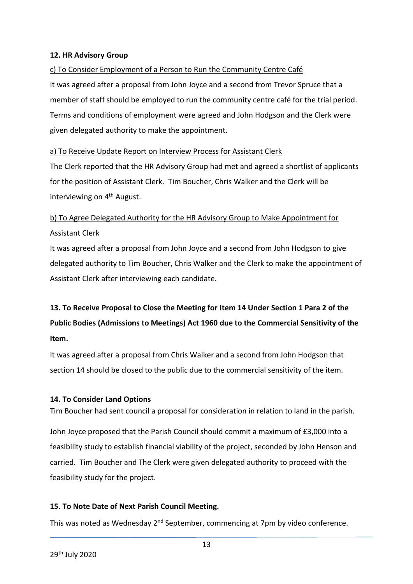#### **12. HR Advisory Group**

#### c) To Consider Employment of a Person to Run the Community Centre Café

It was agreed after a proposal from John Joyce and a second from Trevor Spruce that a member of staff should be employed to run the community centre café for the trial period. Terms and conditions of employment were agreed and John Hodgson and the Clerk were given delegated authority to make the appointment.

#### a) To Receive Update Report on Interview Process for Assistant Clerk

The Clerk reported that the HR Advisory Group had met and agreed a shortlist of applicants for the position of Assistant Clerk. Tim Boucher, Chris Walker and the Clerk will be interviewing on 4<sup>th</sup> August.

## b) To Agree Delegated Authority for the HR Advisory Group to Make Appointment for Assistant Clerk

It was agreed after a proposal from John Joyce and a second from John Hodgson to give delegated authority to Tim Boucher, Chris Walker and the Clerk to make the appointment of Assistant Clerk after interviewing each candidate.

## **13. To Receive Proposal to Close the Meeting for Item 14 Under Section 1 Para 2 of the Public Bodies (Admissions to Meetings) Act 1960 due to the Commercial Sensitivity of the Item.**

It was agreed after a proposal from Chris Walker and a second from John Hodgson that section 14 should be closed to the public due to the commercial sensitivity of the item.

#### **14. To Consider Land Options**

Tim Boucher had sent council a proposal for consideration in relation to land in the parish.

John Joyce proposed that the Parish Council should commit a maximum of £3,000 into a feasibility study to establish financial viability of the project, seconded by John Henson and carried. Tim Boucher and The Clerk were given delegated authority to proceed with the feasibility study for the project.

#### **15. To Note Date of Next Parish Council Meeting.**

This was noted as Wednesday 2<sup>nd</sup> September, commencing at 7pm by video conference.